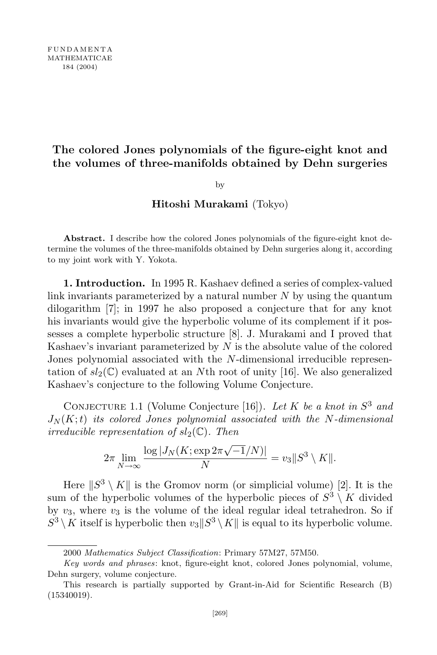## The colored Jones polynomials of the figure-eight knot and the volumes of three-manifolds obtained by Dehn surgeries

by

## Hitoshi Murakami (Tokyo)

Abstract. I describe how the colored Jones polynomials of the figure-eight knot determine the volumes of the three-manifolds obtained by Dehn surgeries along it, according to my joint work with Y. Yokota.

1. Introduction. In 1995 R. Kashaev defined a series of complex-valued link invariants parameterized by a natural number  $N$  by using the quantum dilogarithm [7]; in 1997 he also proposed a conjecture that for any knot his invariants would give the hyperbolic volume of its complement if it possesses a complete hyperbolic structure [8]. J. Murakami and I proved that Kashaev's invariant parameterized by  $N$  is the absolute value of the colored Jones polynomial associated with the N-dimensional irreducible representation of  $sl_2(\mathbb{C})$  evaluated at an Nth root of unity [16]. We also generalized Kashaev's conjecture to the following Volume Conjecture.

CONJECTURE 1.1 (Volume Conjecture [16]). Let K be a knot in  $S^3$  and  $J_N(K;t)$  its colored Jones polynomial associated with the N-dimensional irreducible representation of  $sl_2(\mathbb{C})$ . Then

$$
2\pi \lim_{N \to \infty} \frac{\log |J_N(K; \exp 2\pi \sqrt{-1}/N)|}{N} = v_3 \|S^3 \setminus K\|.
$$

Here  $||S^3 \setminus K||$  is the Gromov norm (or simplicial volume) [2]. It is the sum of the hyperbolic volumes of the hyperbolic pieces of  $S^3 \setminus K$  divided by  $v_3$ , where  $v_3$  is the volume of the ideal regular ideal tetrahedron. So if  $S^3 \setminus K$  itself is hyperbolic then  $v_3||S^3 \setminus K||$  is equal to its hyperbolic volume.

<sup>2000</sup> Mathematics Subject Classification: Primary 57M27, 57M50.

Key words and phrases: knot, figure-eight knot, colored Jones polynomial, volume, Dehn surgery, volume conjecture.

This research is partially supported by Grant-in-Aid for Scientific Research (B) (15340019).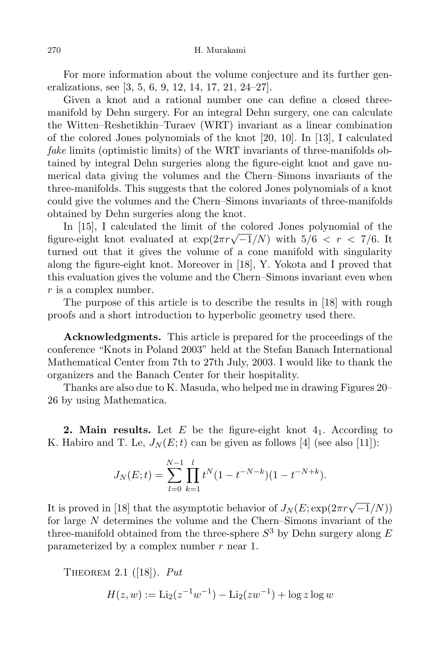For more information about the volume conjecture and its further generalizations, see [3, 5, 6, 9, 12, 14, 17, 21, 24–27].

Given a knot and a rational number one can define a closed threemanifold by Dehn surgery. For an integral Dehn surgery, one can calculate the Witten–Reshetikhin–Turaev (WRT) invariant as a linear combination of the colored Jones polynomials of the knot [20, 10]. In [13], I calculated fake limits (optimistic limits) of the WRT invariants of three-manifolds obtained by integral Dehn surgeries along the figure-eight knot and gave numerical data giving the volumes and the Chern–Simons invariants of the three-manifolds. This suggests that the colored Jones polynomials of a knot could give the volumes and the Chern–Simons invariants of three-manifolds obtained by Dehn surgeries along the knot.

In [15], I calculated the limit of the colored Jones polynomial of the figure-eight knot evaluated at  $\exp(2\pi r \sqrt{-1}/N)$  with  $5/6 < r < 7/6$ . It turned out that it gives the volume of a cone manifold with singularity along the figure-eight knot. Moreover in [18], Y. Yokota and I proved that this evaluation gives the volume and the Chern–Simons invariant even when r is a complex number.

The purpose of this article is to describe the results in [18] with rough proofs and a short introduction to hyperbolic geometry used there.

Acknowledgments. This article is prepared for the proceedings of the conference "Knots in Poland 2003" held at the Stefan Banach International Mathematical Center from 7th to 27th July, 2003. I would like to thank the organizers and the Banach Center for their hospitality.

Thanks are also due to K. Masuda, who helped me in drawing Figures 20– 26 by using Mathematica.

**2. Main results.** Let  $E$  be the figure-eight knot  $4<sub>1</sub>$ . According to K. Habiro and T. Le,  $J_N(E;t)$  can be given as follows [4] (see also [11]):

$$
J_N(E;t) = \sum_{l=0}^{N-1} \prod_{k=1}^l t^N (1 - t^{-N-k})(1 - t^{-N+k}).
$$

It is proved in [18] that the asymptotic behavior of  $J_N(E; \exp(2\pi r \sqrt{-1}/N))$ for large N determines the volume and the Chern–Simons invariant of the three-manifold obtained from the three-sphere  $S^3$  by Dehn surgery along E parameterized by a complex number  $r$  near 1.

THEOREM 2.1 ([18]).  $Put$ 

$$
H(z, w) := \text{Li}_2(z^{-1}w^{-1}) - \text{Li}_2(zw^{-1}) + \log z \log w
$$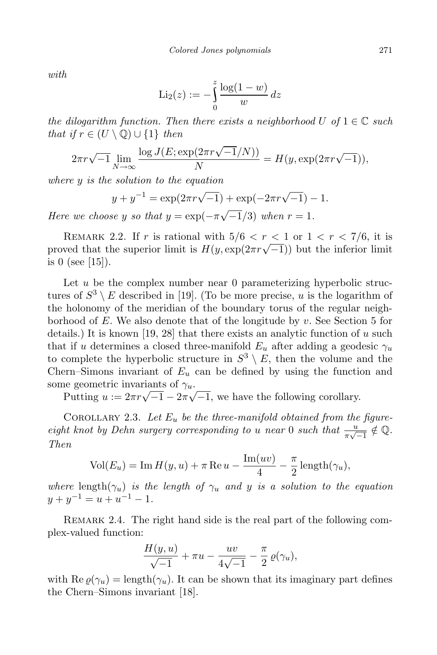with

$$
\mathrm{Li}_2(z) := -\int_0^z \frac{\log(1-w)}{w} \, dz
$$

the dilogarithm function. Then there exists a neighborhood U of  $1 \in \mathbb{C}$  such that if  $r \in (U \setminus \mathbb{Q}) \cup \{1\}$  then

$$
2\pi r \sqrt{-1} \lim_{N \to \infty} \frac{\log J(E; \exp(2\pi r \sqrt{-1}/N))}{N} = H(y, \exp(2\pi r \sqrt{-1})),
$$

where y is the solution to the equation

$$
y + y^{-1} = \exp(2\pi r \sqrt{-1}) + \exp(-2\pi r \sqrt{-1}) - 1.
$$

Here we choose y so that  $y = \exp(-\pi\sqrt{-1/3})$  when  $r = 1$ .

REMARK 2.2. If r is rational with  $5/6 < r < 1$  or  $1 < r < 7/6$ , it is proved that the superior limit is  $H(y, \exp(2\pi r \sqrt{-1}))$  but the inferior limit is 0 (see [15]).

Let  $u$  be the complex number near 0 parameterizing hyperbolic structures of  $S^3 \setminus E$  described in [19]. (To be more precise, u is the logarithm of the holonomy of the meridian of the boundary torus of the regular neighborhood of E. We also denote that of the longitude by  $v$ . See Section 5 for details.) It is known [19, 28] that there exists an analytic function of u such that if u determines a closed three-manifold  $E_u$  after adding a geodesic  $\gamma_u$ to complete the hyperbolic structure in  $S^3 \setminus E$ , then the volume and the Chern–Simons invariant of  $E_u$  can be defined by using the function and some geometric invariants of  $\gamma_u$ .

Putting  $u := 2\pi r \sqrt{-1} - 2\pi \sqrt{-1}$ , we have the following corollary.

COROLLARY 2.3. Let  $E_u$  be the three-manifold obtained from the figureeight knot by Dehn surgery corresponding to u near 0 such that  $\frac{u}{\pi\sqrt{-1}} \notin \mathbb{Q}$ . Then

$$
Vol(E_u) = Im H(y, u) + \pi Re u - \frac{Im(uv)}{4} - \frac{\pi}{2} length(\gamma_u),
$$

where length $(\gamma_u)$  is the length of  $\gamma_u$  and y is a solution to the equation  $y + y^{-1} = u + u^{-1} - 1.$ 

REMARK 2.4. The right hand side is the real part of the following complex-valued function:

$$
\frac{H(y,u)}{\sqrt{-1}} + \pi u - \frac{uv}{4\sqrt{-1}} - \frac{\pi}{2} \varrho(\gamma_u),
$$

with Re  $\varrho(\gamma_u) = \text{length}(\gamma_u)$ . It can be shown that its imaginary part defines the Chern–Simons invariant [18].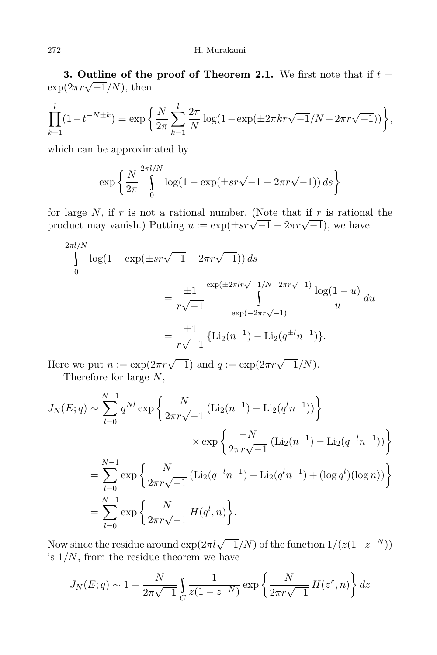3. Outline of the proof of Theorem 2.1. We first note that if  $t =$  $\exp(2\pi r \sqrt{-1}/N)$ , then

$$
\prod_{k=1}^{l} (1 - t^{-N \pm k}) = \exp\left\{\frac{N}{2\pi} \sum_{k=1}^{l} \frac{2\pi}{N} \log(1 - \exp(\pm 2\pi kr\sqrt{-1}/N - 2\pi r\sqrt{-1}))\right\},\,
$$

which can be approximated by

$$
\exp\left\{\frac{N}{2\pi}\int\limits_{0}^{2\pi l/N}\log(1-\exp(\pm sr\sqrt{-1}-2\pi r\sqrt{-1}))\,ds\right\}
$$

for large  $N$ , if  $r$  is not a rational number. (Note that if  $r$  is rational the product may vanish.) Putting  $u := \exp(\pm sr\sqrt{-1} - 2\pi r\sqrt{-1})$ , we have

$$
\int_{0}^{2\pi l/N} \log(1 - \exp(\pm sr\sqrt{-1} - 2\pi r\sqrt{-1})) ds
$$
  
= 
$$
\frac{\pm 1}{r\sqrt{-1}} \int_{\exp(-2\pi r\sqrt{-1})}^{\exp(\pm 2\pi lr\sqrt{-1}/N - 2\pi r\sqrt{-1})} \frac{\log(1 - u)}{u} du
$$
  
= 
$$
\frac{\pm 1}{r\sqrt{-1}} \{ \text{Li}_2(n^{-1}) - \text{Li}_2(q^{\pm l}n^{-1}) \}.
$$

Here we put  $n := \exp(2\pi r \sqrt{-1})$  and  $q := \exp(2\pi r \sqrt{-1}/N)$ . Therefore for large N,

$$
J_N(E;q) \sim \sum_{l=0}^{N-1} q^{Nl} \exp \left\{ \frac{N}{2\pi r \sqrt{-1}} \left( \text{Li}_2(n^{-1}) - \text{Li}_2(q^l n^{-1}) \right) \right\}
$$
  

$$
\times \exp \left\{ \frac{-N}{2\pi r \sqrt{-1}} \left( \text{Li}_2(n^{-1}) - \text{Li}_2(q^{-l} n^{-1}) \right) \right\}
$$
  

$$
= \sum_{l=0}^{N-1} \exp \left\{ \frac{N}{2\pi r \sqrt{-1}} \left( \text{Li}_2(q^{-l} n^{-1}) - \text{Li}_2(q^l n^{-1}) + (\log q^l)(\log n) \right) \right\}
$$
  

$$
= \sum_{l=0}^{N-1} \exp \left\{ \frac{N}{2\pi r \sqrt{-1}} H(q^l, n) \right\}.
$$

Now since the residue around  $\exp(2\pi l \sqrt{-1}/N)$  of the function  $1/(z(1-z^{-N}))$ is  $1/N$ , from the residue theorem we have

$$
J_N(E; q) \sim 1 + \frac{N}{2\pi\sqrt{-1}} \int_C \frac{1}{z(1 - z^{-N})} \exp\left\{ \frac{N}{2\pi r \sqrt{-1}} H(z^r, n) \right\} dz
$$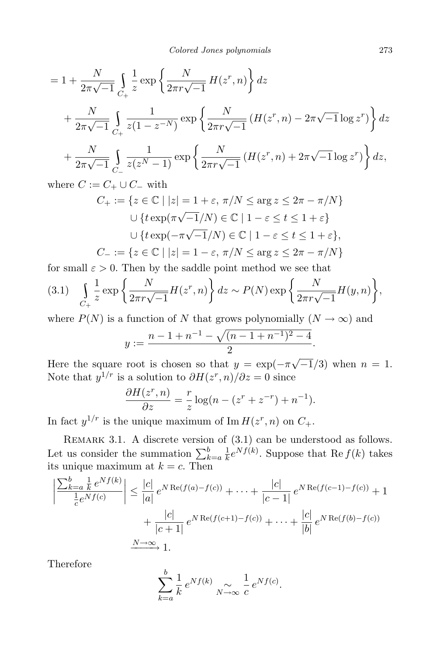$$
= 1 + \frac{N}{2\pi\sqrt{-1}} \int_{C_{+}} \frac{1}{z} \exp\left\{\frac{N}{2\pi r\sqrt{-1}} H(z^{r}, n)\right\} dz
$$
  
+ 
$$
\frac{N}{2\pi\sqrt{-1}} \int_{C_{+}} \frac{1}{z(1 - z^{-N})} \exp\left\{\frac{N}{2\pi r\sqrt{-1}} (H(z^{r}, n) - 2\pi\sqrt{-1} \log z^{r})\right\} dz
$$
  
+ 
$$
\frac{N}{2\pi\sqrt{-1}} \int_{C_{-}} \frac{1}{z(z^{N} - 1)} \exp\left\{\frac{N}{2\pi r\sqrt{-1}} (H(z^{r}, n) + 2\pi\sqrt{-1} \log z^{r})\right\} dz,
$$

where  $C := C_+ \cup C_-$  with

$$
C_+ := \{ z \in \mathbb{C} \mid |z| = 1 + \varepsilon, \pi/N \le \arg z \le 2\pi - \pi/N \}
$$

$$
\cup \{ t \exp(\pi\sqrt{-1}/N) \in \mathbb{C} \mid 1 - \varepsilon \le t \le 1 + \varepsilon \}
$$

$$
\cup \{ t \exp(-\pi\sqrt{-1}/N) \in \mathbb{C} \mid 1 - \varepsilon \le t \le 1 + \varepsilon \},
$$

$$
C_- := \{ z \in \mathbb{C} \mid |z| = 1 - \varepsilon, \pi/N \le \arg z \le 2\pi - \pi/N \}
$$

for small  $\varepsilon > 0$ . Then by the saddle point method we see that

$$
(3.1) \quad \int\limits_{C_+} \frac{1}{z} \exp\left\{\frac{N}{2\pi r \sqrt{-1}} H(z^r, n)\right\} dz \sim P(N) \exp\left\{\frac{N}{2\pi r \sqrt{-1}} H(y, n)\right\},\,
$$

where  $P(N)$  is a function of N that grows polynomially  $(N \to \infty)$  and

$$
y := \frac{n - 1 + n^{-1} - \sqrt{(n - 1 + n^{-1})^2 - 4}}{2}
$$

.

Here the square root is chosen so that  $y = \exp(-\pi\sqrt{-1/3})$  when  $n = 1$ . Note that  $y^{1/r}$  is a solution to  $\partial H(z^r, n)/\partial z = 0$  since

$$
\frac{\partial H(z^r, n)}{\partial z} = \frac{r}{z} \log(n - (z^r + z^{-r}) + n^{-1}).
$$

In fact  $y^{1/r}$  is the unique maximum of Im  $H(z^r, n)$  on  $C_+$ .

REMARK 3.1. A discrete version of  $(3.1)$  can be understood as follows. Let us consider the summation  $\sum_{k=a}^{b} \frac{1}{k}$  $\frac{1}{k}e^{Nf(k)}$ . Suppose that Re  $f(k)$  takes its unique maximum at  $k = c$ . Then

$$
\left| \frac{\sum_{k=a}^{b} \frac{1}{k} e^{Nf(k)}}{\frac{1}{c} e^{Nf(c)}} \right| \leq \frac{|c|}{|a|} e^{N \operatorname{Re}(f(a) - f(c))} + \dots + \frac{|c|}{|c - 1|} e^{N \operatorname{Re}(f(c - 1) - f(c))} + 1 + \frac{|c|}{|c + 1|} e^{N \operatorname{Re}(f(c + 1) - f(c))} + \dots + \frac{|c|}{|b|} e^{N \operatorname{Re}(f(b) - f(c))} + \frac{N \to \infty}{1} 1.
$$

Therefore

$$
\sum_{k=a}^{b} \frac{1}{k} e^{Nf(k)} \underset{N \to \infty}{\sim} \frac{1}{c} e^{Nf(c)}.
$$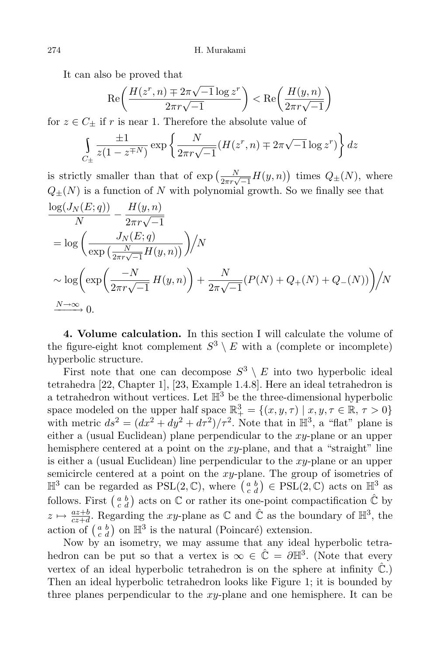It can also be proved that

$$
\operatorname{Re}\left(\frac{H(z^r, n) \mp 2\pi\sqrt{-1}\log z^r}{2\pi r\sqrt{-1}}\right) < \operatorname{Re}\left(\frac{H(y, n)}{2\pi r\sqrt{-1}}\right)
$$

for  $z \in C_{\pm}$  if r is near 1. Therefore the absolute value of

$$
\int_{C_{\pm}} \frac{\pm 1}{z(1 - z^{\mp N})} \exp\left\{ \frac{N}{2\pi r \sqrt{-1}} (H(z^r, n) \mp 2\pi \sqrt{-1} \log z^r) \right\} dz
$$

is strictly smaller than that of  $\exp\left(\frac{N}{2\pi r\sqrt{-1}}H(y,n)\right)$  times  $Q_{\pm}(N)$ , where  $Q_{+}(N)$  is a function of N with polynomial growth. So we finally see that

$$
\frac{\log(J_N(E; q))}{N} - \frac{H(y, n)}{2\pi r \sqrt{-1}}
$$
\n
$$
= \log \left( \frac{J_N(E; q)}{\exp\left(\frac{N}{2\pi r \sqrt{-1}} H(y, n)\right)} \right) / N
$$
\n
$$
\sim \log \left( \exp \left( \frac{-N}{2\pi r \sqrt{-1}} H(y, n) \right) + \frac{N}{2\pi \sqrt{-1}} (P(N) + Q_+(N) + Q_-(N)) \right) / N
$$
\n
$$
\frac{N \to \infty}{N} 0.
$$

4. Volume calculation. In this section I will calculate the volume of the figure-eight knot complement  $S^3 \setminus E$  with a (complete or incomplete) hyperbolic structure.

First note that one can decompose  $S^3 \setminus E$  into two hyperbolic ideal tetrahedra [22, Chapter 1], [23, Example 1.4.8]. Here an ideal tetrahedron is a tetrahedron without vertices. Let  $\mathbb{H}^3$  be the three-dimensional hyperbolic space modeled on the upper half space  $\mathbb{R}^3_+ = \{(x, y, \tau) \mid x, y, \tau \in \mathbb{R}, \tau > 0\}$ with metric  $ds^2 = (dx^2 + dy^2 + d\tau^2)/\tau^2$ . Note that in  $\mathbb{H}^3$ , a "flat" plane is either a (usual Euclidean) plane perpendicular to the  $xy$ -plane or an upper hemisphere centered at a point on the xy-plane, and that a "straight" line is either a (usual Euclidean) line perpendicular to the xy-plane or an upper semicircle centered at a point on the  $xy$ -plane. The group of isometries of  $\mathbb{H}^3$  can be regarded as  $PSL(2,\mathbb{C})$ , where  $\begin{pmatrix} a & b \\ c & d \end{pmatrix} \in \text{PSL}(2,\mathbb{C})$  acts on  $\mathbb{H}^3$  as follows. First  $\begin{pmatrix} a & b \\ c & d \end{pmatrix}$  acts on  $\mathbb C$  or rather its one-point compactification  $\hat{\mathbb C}$  by  $z \mapsto \frac{az+b}{cz+d}$ . Regarding the xy-plane as  $\mathbb C$  and  $\hat{\mathbb C}$  as the boundary of  $\mathbb H^3$ , the action of  $\begin{pmatrix} a & b \\ c & d \end{pmatrix}$  on  $\mathbb{H}^3$  is the natural (Poincaré) extension.

Now by an isometry, we may assume that any ideal hyperbolic tetrahedron can be put so that a vertex is  $\infty \in \hat{\mathbb{C}} = \partial \mathbb{H}^3$ . (Note that every vertex of an ideal hyperbolic tetrahedron is on the sphere at infinity  $\hat{\mathbb{C}}$ .) Then an ideal hyperbolic tetrahedron looks like Figure 1; it is bounded by three planes perpendicular to the  $xy$ -plane and one hemisphere. It can be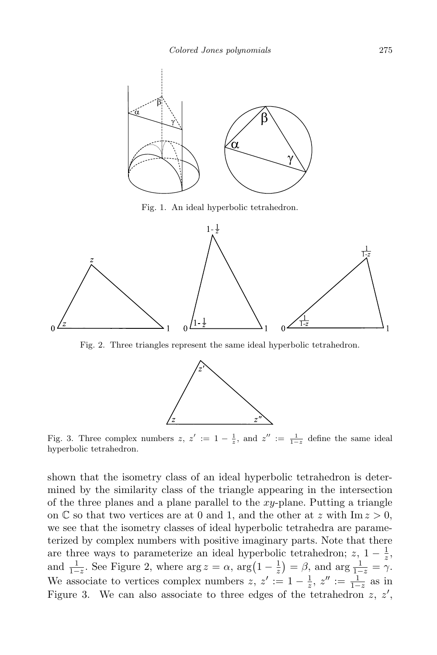

Fig. 1. An ideal hyperbolic tetrahedron.



Fig. 2. Three triangles represent the same ideal hyperbolic tetrahedron.



Fig. 3. Three complex numbers  $z, z' := 1 - \frac{1}{z}$ , and  $z'' := \frac{1}{1-z}$  define the same ideal hyperbolic tetrahedron.

shown that the isometry class of an ideal hyperbolic tetrahedron is determined by the similarity class of the triangle appearing in the intersection of the three planes and a plane parallel to the  $xy$ -plane. Putting a triangle on  $\mathbb C$  so that two vertices are at 0 and 1, and the other at z with Im  $z > 0$ , we see that the isometry classes of ideal hyperbolic tetrahedra are parameterized by complex numbers with positive imaginary parts. Note that there are three ways to parameterize an ideal hyperbolic tetrahedron;  $z$ ,  $1-\frac{1}{z}$  $\frac{1}{z}$ , and  $\frac{1}{1-z}$ . See Figure 2, where  $\arg z = \alpha$ ,  $\arg(1-\frac{1}{z})$  $(\frac{1}{z}) = \beta$ , and  $\arg \frac{1}{1-z} = \gamma$ . We associate to vertices complex numbers  $z, z' := 1 - \frac{1}{z}$  $\frac{1}{z}$ ,  $z'' := \frac{1}{1-z}$  as in Figure 3. We can also associate to three edges of the tetrahedron  $z, z',$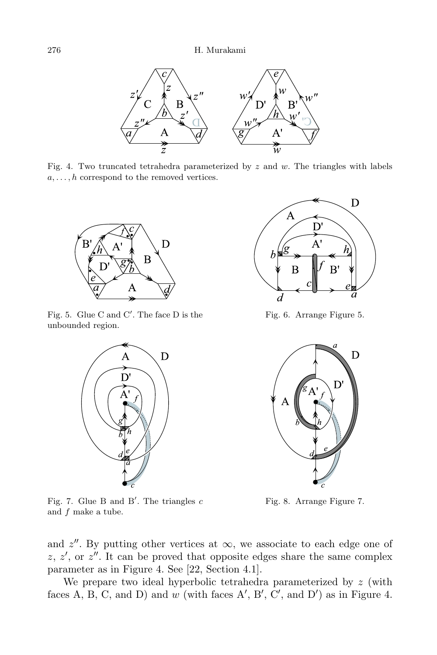

Fig. 4. Two truncated tetrahedra parameterized by  $z$  and  $w$ . The triangles with labels  $a, \ldots, h$  correspond to the removed vertices.



Fig. 5. Glue C and C'. The face  $D$  is the unbounded region.



Fig. 7. Glue B and B'. The triangles  $c$ and f make a tube.



Fig. 6. Arrange Figure 5.



Fig. 8. Arrange Figure 7.

and  $z''$ . By putting other vertices at  $\infty$ , we associate to each edge one of  $z, z'$ , or  $z''$ . It can be proved that opposite edges share the same complex parameter as in Figure 4. See [22, Section 4.1].

We prepare two ideal hyperbolic tetrahedra parameterized by  $z$  (with faces A, B, C, and D) and w (with faces A', B', C', and D') as in Figure 4.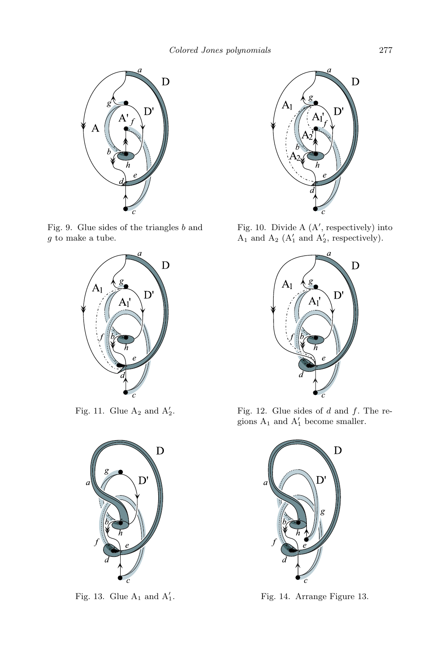

Fig. 9. Glue sides of the triangles b and g to make a tube.



Fig. 11. Glue  $A_2$  and  $A'_2$ 



Fig. 13. Glue  $A_1$  and  $A'_1$ 



Fig. 10. Divide  $A(A',$  respectively) into  $A_1$  and  $A_2$  ( $A'_1$  and  $A'_2$ , respectively).



Fig. 12. Glue sides of  $d$  and  $f$ . The regions  $A_1$  and  $A'_1$  become smaller.



<sup>1</sup>. Fig. 14. Arrange Figure 13.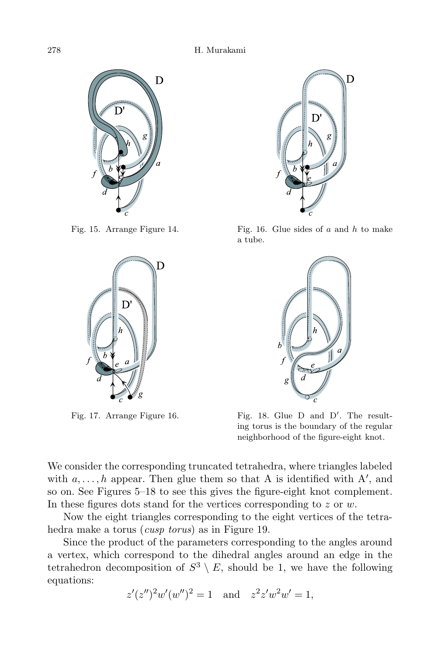



Fig. 17. Arrange Figure 16.



Fig. 15. Arrange Figure 14. Fig. 16. Glue sides of a and h to make a tube.



'. The resulting torus is the boundary of the regular neighborhood of the figure-eight knot.

We consider the corresponding truncated tetrahedra, where triangles labeled with  $a, \ldots, h$  appear. Then glue them so that A is identified with A', and so on. See Figures 5–18 to see this gives the figure-eight knot complement. In these figures dots stand for the vertices corresponding to  $z$  or  $w$ .

Now the eight triangles corresponding to the eight vertices of the tetrahedra make a torus *(cusp torus)* as in Figure 19.

Since the product of the parameters corresponding to the angles around a vertex, which correspond to the dihedral angles around an edge in the tetrahedron decomposition of  $S^3 \setminus E$ , should be 1, we have the following equations:

$$
z'(z'')^2 w'(w'')^2 = 1
$$
 and  $z^2 z' w^2 w' = 1$ ,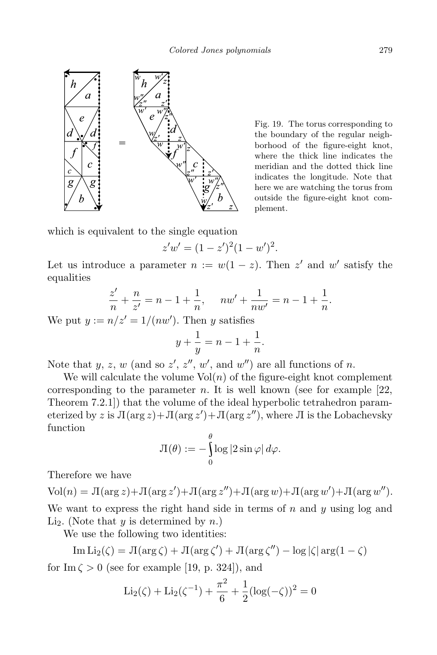

Fig. 19. The torus corresponding to the boundary of the regular neighborhood of the figure-eight knot, where the thick line indicates the meridian and the dotted thick line indicates the longitude. Note that here we are watching the torus from outside the figure-eight knot complement.

which is equivalent to the single equation

$$
z'w' = (1 - z')^{2}(1 - w')^{2}.
$$

Let us introduce a parameter  $n := w(1 - z)$ . Then z' and w' satisfy the equalities

$$
\frac{z'}{n} + \frac{n}{z'} = n - 1 + \frac{1}{n}, \quad nw' + \frac{1}{nw'} = n - 1 + \frac{1}{n}.
$$

We put  $y := n/z' = 1/(nw')$ . Then y satisfies

$$
y + \frac{1}{y} = n - 1 + \frac{1}{n}.
$$

Note that  $y, z, w$  (and so  $z', z'', w'$ , and  $w'$ ) are all functions of n.

We will calculate the volume  $Vol(n)$  of the figure-eight knot complement corresponding to the parameter n. It is well known (see for example  $[22,$ Theorem 7.2.1]) that the volume of the ideal hyperbolic tetrahedron parameterized by z is  $\Pi(\arg z) + \Pi(\arg z') + \Pi(\arg z'')$ , where  $\Pi$  is the Lobachevsky function

$$
\Pi(\theta) := -\int_{0}^{\theta} \log |2 \sin \varphi| \, d\varphi.
$$

Therefore we have

 $\text{Vol}(n) = \text{J}(\arg z) + \text{J}(\arg z') + \text{J}(\arg z'') + \text{J}(\arg w) + \text{J}(\arg w') + \text{J}(\arg w'')$ .

We want to express the right hand side in terms of  $n$  and  $y$  using log and Li<sub>2</sub>. (Note that y is determined by n.)

We use the following two identities:

Im Li<sub>2</sub>(
$$
\zeta
$$
) =  $\Pi(\arg \zeta) + \Pi(\arg \zeta') + \Pi(\arg \zeta'') - \log |\zeta| \arg(1 - \zeta)$ 

for  $\text{Im }\zeta > 0$  (see for example [19, p. 324]), and

$$
\text{Li}_2(\zeta) + \text{Li}_2(\zeta^{-1}) + \frac{\pi^2}{6} + \frac{1}{2}(\log(-\zeta))^2 = 0
$$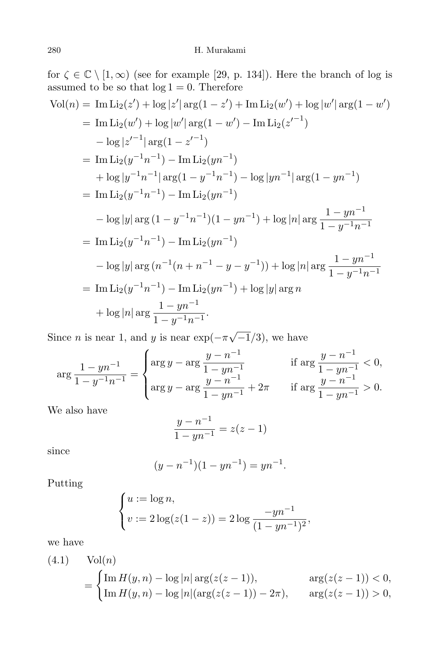for  $\zeta \in \mathbb{C} \setminus [1,\infty)$  (see for example [29, p. 134]). Here the branch of log is assumed to be so that  $log 1 = 0$ . Therefore

$$
Vol(n) = Im Li_2(z') + log |z'| arg(1 - z') + Im Li_2(w') + log |w'| arg(1 - w')
$$
  
\n
$$
= Im Li_2(w') + log |w'| arg(1 - w') - Im Li_2(z'^{-1})
$$
  
\n
$$
- log |z'^{-1}| arg(1 - z'^{-1})
$$
  
\n
$$
= Im Li_2(y^{-1}n^{-1}) - Im Li_2(yn^{-1})
$$
  
\n
$$
+ log |y^{-1}n^{-1}| arg(1 - y^{-1}n^{-1}) - log |yn^{-1}| arg(1 - yn^{-1})
$$
  
\n
$$
= Im Li_2(y^{-1}n^{-1}) - Im Li_2(yn^{-1})
$$
  
\n
$$
- log |y| arg (1 - y^{-1}n^{-1})(1 - yn^{-1}) + log |n| arg \frac{1 - yn^{-1}}{1 - y^{-1}n^{-1}}
$$
  
\n
$$
= Im Li_2(y^{-1}n^{-1}) - Im Li_2(yn^{-1})
$$
  
\n
$$
- log |y| arg (n^{-1}(n + n^{-1} - y - y^{-1})) + log |n| arg \frac{1 - yn^{-1}}{1 - y^{-1}n^{-1}}
$$
  
\n
$$
= Im Li_2(y^{-1}n^{-1}) - Im Li_2(yn^{-1}) + log |y| arg n
$$
  
\n
$$
+ log |n| arg \frac{1 - yn^{-1}}{1 - y^{-1}n^{-1}}.
$$

Since *n* is near 1, and *y* is near  $\exp(-\pi\sqrt{-1/3})$ , we have

$$
\arg\frac{1 - yn^{-1}}{1 - y^{-1}n^{-1}} = \begin{cases} \arg y - \arg\frac{y - n^{-1}}{1 - yn^{-1}} & \text{if } \arg\frac{y - n^{-1}}{1 - yn^{-1}} < 0, \\ \arg y - \arg\frac{y - n^{-1}}{1 - yn^{-1}} + 2\pi & \text{if } \arg\frac{y - n^{-1}}{1 - yn^{-1}} > 0. \end{cases}
$$

We also have

$$
\frac{y - n^{-1}}{1 - y n^{-1}} = z(z - 1)
$$

since

$$
(y - n^{-1})(1 - yn^{-1}) = yn^{-1}.
$$

Putting

$$
\begin{cases} u := \log n, \\ v := 2\log(z(1-z)) = 2\log\frac{-yn^{-1}}{(1-yn^{-1})^2}, \end{cases}
$$

we have

(4.1) Vol(n)  
= 
$$
\begin{cases} \text{Im } H(y, n) - \log |n| \arg(z(z-1)), & \arg(z(z-1)) < 0, \\ \text{Im } H(y, n) - \log |n| (\arg(z(z-1)) - 2\pi), & \arg(z(z-1)) > 0, \end{cases}
$$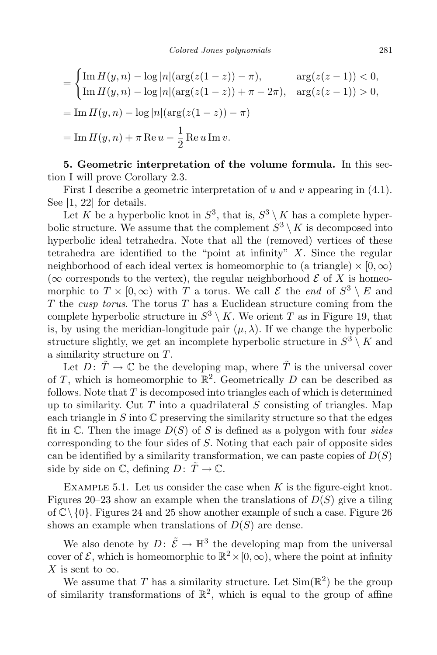$$
= \begin{cases} \text{Im } H(y, n) - \log |n|(\arg(z(1-z)) - \pi), & \arg(z(z-1)) < 0, \\ \text{Im } H(y, n) - \log |n|(\arg(z(1-z)) + \pi - 2\pi), & \arg(z(z-1)) > 0, \\ = \text{Im } H(y, n) - \log |n|(\arg(z(1-z)) - \pi) \end{cases}
$$
  
= 
$$
\text{Im } H(y, n) + \pi \text{ Re } u - \frac{1}{2} \text{ Re } u \text{ Im } v.
$$

5. Geometric interpretation of the volume formula. In this section I will prove Corollary 2.3.

First I describe a geometric interpretation of u and v appearing in  $(4.1)$ . See [1, 22] for details.

Let K be a hyperbolic knot in  $S^3$ , that is,  $S^3 \setminus K$  has a complete hyperbolic structure. We assume that the complement  $S^3 \setminus K$  is decomposed into hyperbolic ideal tetrahedra. Note that all the (removed) vertices of these tetrahedra are identified to the "point at infinity"  $X$ . Since the regular neighborhood of each ideal vertex is homeomorphic to (a triangle)  $\times$  [0,  $\infty$ ) ( $\infty$  corresponds to the vertex), the regular neighborhood  $\mathcal E$  of X is homeomorphic to  $T \times [0, \infty)$  with T a torus. We call  $\mathcal E$  the end of  $S^3 \setminus E$  and T the cusp torus. The torus  $T$  has a Euclidean structure coming from the complete hyperbolic structure in  $S^3 \setminus K$ . We orient T as in Figure 19, that is, by using the meridian-longitude pair  $(\mu, \lambda)$ . If we change the hyperbolic structure slightly, we get an incomplete hyperbolic structure in  $S^3 \setminus K$  and a similarity structure on T.

Let  $D: \tilde{T} \to \mathbb{C}$  be the developing map, where  $\tilde{T}$  is the universal cover of T, which is homeomorphic to  $\mathbb{R}^2$ . Geometrically D can be described as follows. Note that  $T$  is decomposed into triangles each of which is determined up to similarity. Cut  $T$  into a quadrilateral  $S$  consisting of triangles. Map each triangle in S into  $\mathbb C$  preserving the similarity structure so that the edges fit in  $\mathbb C$ . Then the image  $D(S)$  of S is defined as a polygon with four sides corresponding to the four sides of S. Noting that each pair of opposite sides can be identified by a similarity transformation, we can paste copies of  $D(S)$ side by side on  $\mathbb C$ , defining  $D: \tilde{T} \to \mathbb C$ .

EXAMPLE 5.1. Let us consider the case when  $K$  is the figure-eight knot. Figures 20–23 show an example when the translations of  $D(S)$  give a tiling of  $\mathbb{C}\setminus\{0\}$ . Figures 24 and 25 show another example of such a case. Figure 26 shows an example when translations of  $D(S)$  are dense.

We also denote by  $D: \tilde{\mathcal{E}} \to \mathbb{H}^3$  the developing map from the universal cover of  $\mathcal{E}$ , which is homeomorphic to  $\mathbb{R}^2 \times [0,\infty)$ , where the point at infinity X is sent to  $\infty$ .

We assume that T has a similarity structure. Let  $\text{Sim}(\mathbb{R}^2)$  be the group of similarity transformations of  $\mathbb{R}^2$ , which is equal to the group of affine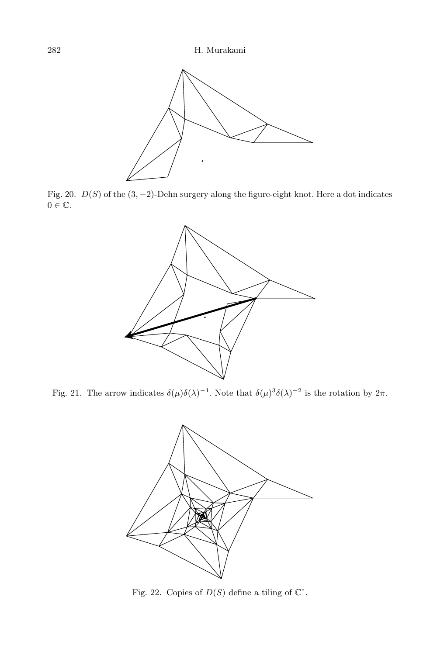

Fig. 20.  $D(S)$  of the  $(3, -2)$ -Dehn surgery along the figure-eight knot. Here a dot indicates  $0 \in \mathbb{C}$ .



Fig. 21. The arrow indicates  $\delta(\mu)\delta(\lambda)^{-1}$ . Note that  $\delta(\mu)^3\delta(\lambda)^{-2}$  is the rotation by  $2\pi$ .



Fig. 22. Copies of  $D(S)$  define a tiling of  $\mathbb{C}^*$ .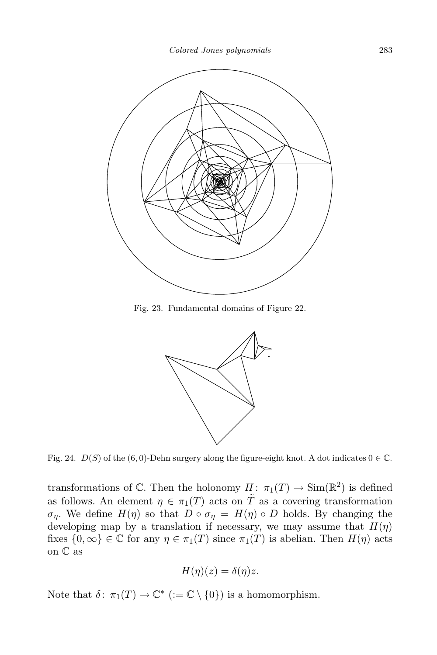

Fig. 23. Fundamental domains of Figure 22.



Fig. 24.  $D(S)$  of the (6,0)-Dehn surgery along the figure-eight knot. A dot indicates  $0 \in \mathbb{C}$ .

transformations of  $\mathbb C$ . Then the holonomy  $H: \pi_1(T) \to \text{Sim}(\mathbb{R}^2)$  is defined as follows. An element  $\eta \in \pi_1(T)$  acts on  $\tilde{T}$  as a covering transformation  $\sigma_{\eta}$ . We define  $H(\eta)$  so that  $D \circ \sigma_{\eta} = H(\eta) \circ D$  holds. By changing the developing map by a translation if necessary, we may assume that  $H(\eta)$ fixes  $\{0,\infty\}\in\mathbb{C}$  for any  $\eta\in\pi_1(T)$  since  $\pi_1(T)$  is abelian. Then  $H(\eta)$  acts on C as

$$
H(\eta)(z) = \delta(\eta)z.
$$

Note that  $\delta: \pi_1(T) \to \mathbb{C}^*$  ( $:= \mathbb{C} \setminus \{0\}$ ) is a homomorphism.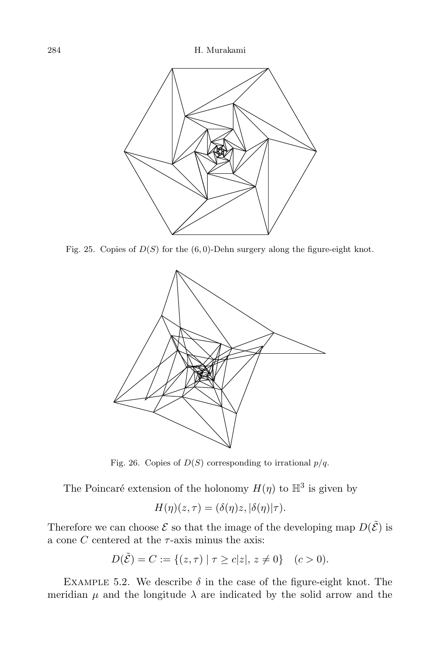

Fig. 25. Copies of  $D(S)$  for the (6,0)-Dehn surgery along the figure-eight knot.



Fig. 26. Copies of  $D(S)$  corresponding to irrational  $p/q$ .

The Poincaré extension of the holonomy  $H(\eta)$  to  $\mathbb{H}^3$  is given by

$$
H(\eta)(z,\tau)=(\delta(\eta)z,|\delta(\eta)|\tau).
$$

Therefore we can choose  $\mathcal E$  so that the image of the developing map  $D(\tilde{\mathcal E})$  is a cone C centered at the  $\tau$ -axis minus the axis:

$$
D(\tilde{\mathcal{E}}) = C := \{(z, \tau) \mid \tau \ge c |z|, z \ne 0\} \quad (c > 0).
$$

EXAMPLE 5.2. We describe  $\delta$  in the case of the figure-eight knot. The meridian  $\mu$  and the longitude  $\lambda$  are indicated by the solid arrow and the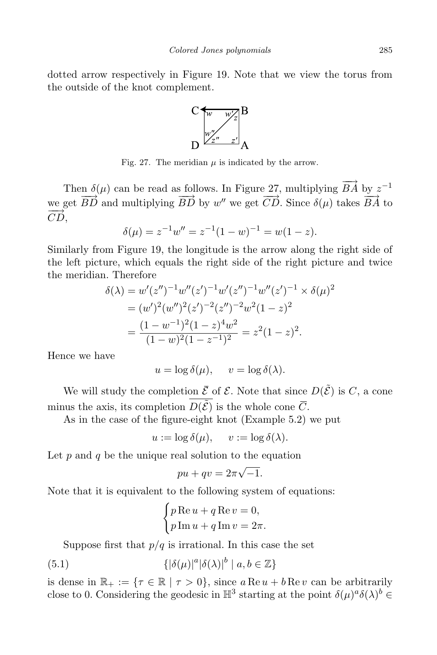dotted arrow respectively in Figure 19. Note that we view the torus from the outside of the knot complement.



Fig. 27. The meridian  $\mu$  is indicated by the arrow.

Then  $\delta(\mu)$  can be read as follows. In Figure 27, multiplying  $\overrightarrow{BA}$  by  $z^{-1}$ we get  $\overrightarrow{BD}$  and multiplying  $\overrightarrow{BD}$  by w'' we get  $\overrightarrow{CD}$ . Since  $\delta(\mu)$  takes  $\overrightarrow{BA}$  to  $CD,$ 

$$
\delta(\mu) = z^{-1}w'' = z^{-1}(1 - w)^{-1} = w(1 - z).
$$

Similarly from Figure 19, the longitude is the arrow along the right side of the left picture, which equals the right side of the right picture and twice the meridian. Therefore

$$
\delta(\lambda) = w'(z'')^{-1}w''(z')^{-1}w'(z'')^{-1}w''(z')^{-1} \times \delta(\mu)^2
$$
  
=  $(w')^2(w'')^2(z')^{-2}(z'')^{-2}w^2(1-z)^2$   
=  $\frac{(1-w^{-1})^2(1-z)^4w^2}{(1-w)^2(1-z^{-1})^2} = z^2(1-z)^2$ .

Hence we have

$$
u = \log \delta(\mu), \quad v = \log \delta(\lambda).
$$

We will study the completion  $\bar{\mathcal{E}}$  of  $\mathcal{E}$ . Note that since  $D(\tilde{\mathcal{E}})$  is C, a cone minus the axis, its completion  $\overline{D(\tilde{\mathcal{E}})}$  is the whole cone  $\overline{C}$ .

As in the case of the figure-eight knot (Example 5.2) we put

$$
u := \log \delta(\mu), \quad v := \log \delta(\lambda).
$$

Let  $p$  and  $q$  be the unique real solution to the equation

$$
pu + qv = 2\pi\sqrt{-1}.
$$

Note that it is equivalent to the following system of equations:

$$
\begin{cases} p \operatorname{Re} u + q \operatorname{Re} v = 0, \\ p \operatorname{Im} u + q \operatorname{Im} v = 2\pi. \end{cases}
$$

Suppose first that  $p/q$  is irrational. In this case the set

(5.1) 
$$
\{|\delta(\mu)|^a|\delta(\lambda)|^b \mid a, b \in \mathbb{Z}\}\
$$

is dense in  $\mathbb{R}_+ := \{ \tau \in \mathbb{R} \mid \tau > 0 \}$ , since  $a \text{Re } u + b \text{Re } v$  can be arbitrarily close to 0. Considering the geodesic in  $\mathbb{H}^3$  starting at the point  $\delta(\mu)^a \delta(\lambda)^b \in$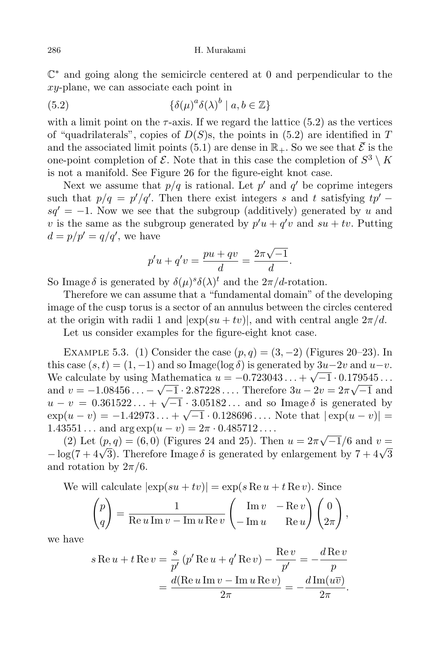C ∗ and going along the semicircle centered at 0 and perpendicular to the xy-plane, we can associate each point in

(5.2) 
$$
\{\delta(\mu)^a \delta(\lambda)^b \mid a, b \in \mathbb{Z}\}\
$$

with a limit point on the  $\tau$ -axis. If we regard the lattice (5.2) as the vertices of "quadrilaterals", copies of  $D(S)$ s, the points in (5.2) are identified in T and the associated limit points (5.1) are dense in  $\mathbb{R}_+$ . So we see that  $\overline{\mathcal{E}}$  is the one-point completion of  $\mathcal{E}$ . Note that in this case the completion of  $S^3 \setminus K$ is not a manifold. See Figure 26 for the figure-eight knot case.

Next we assume that  $p/q$  is rational. Let  $p'$  and  $q'$  be coprime integers such that  $p/q = p'/q'$ . Then there exist integers s and t satisfying  $tp'$  –  $sq' = -1$ . Now we see that the subgroup (additively) generated by u and v is the same as the subgroup generated by  $p'u + q'v$  and  $su + tv$ . Putting  $d = p/p' = q/q'$ , we have

$$
p'u + q'v = \frac{pu + qv}{d} = \frac{2\pi\sqrt{-1}}{d}.
$$

So Image  $\delta$  is generated by  $\delta(\mu)^s \delta(\lambda)^t$  and the  $2\pi/d$ -rotation.

Therefore we can assume that a "fundamental domain" of the developing image of the cusp torus is a sector of an annulus between the circles centered at the origin with radii 1 and  $|\exp(su + tv)|$ , and with central angle  $2\pi/d$ .

Let us consider examples for the figure-eight knot case.

EXAMPLE 5.3. (1) Consider the case  $(p, q) = (3, -2)$  (Figures 20–23). In this case  $(s,t) = (1,-1)$  and so Image(log  $\delta$ ) is generated by  $3u-2v$  and  $u-v$ . We calculate by using Mathematica  $u = -0.723043... + \sqrt{-1} \cdot 0.179545...$ and  $v = -1.08456... - \sqrt{-1} \cdot 2.87228...$  Therefore  $3u - 2v = 2\pi \sqrt{-1}$  and  $u - v = 0.361522... + \sqrt{-1} \cdot \frac{3.05182...}{2.05182...}$  and so Image  $\delta$  is generated by  $\exp(u-v) = -1.42973... + \sqrt{-1} \cdot 0.128696...$  Note that  $|\exp(u-v)| =$  $1.43551...$  and  $\arg \exp(u - v) = 2\pi \cdot 0.485712...$ 

(2) Let  $(p, q) = (6, 0)$  (Figures 24 and 25). Then  $u = 2\pi\sqrt{-1}/6$  and  $v =$  $-\log(7 + 4\sqrt{3})$ . Therefore Image  $\delta$  is generated by enlargement by  $7 + 4\sqrt{3}$ and rotation by  $2\pi/6$ .

We will calculate 
$$
|\exp(su + tv)| = \exp(s \operatorname{Re} u + t \operatorname{Re} v)
$$
. Since

$$
\begin{pmatrix} p \\ q \end{pmatrix} = \frac{1}{\text{Re } u \text{Im } v - \text{Im } u \text{Re } v} \begin{pmatrix} \text{Im } v & -\text{Re } v \\ -\text{Im } u & \text{Re } u \end{pmatrix} \begin{pmatrix} 0 \\ 2\pi \end{pmatrix},
$$

we have

$$
s \operatorname{Re} u + t \operatorname{Re} v = \frac{s}{p'} \left( p' \operatorname{Re} u + q' \operatorname{Re} v \right) - \frac{\operatorname{Re} v}{p'} = -\frac{d \operatorname{Re} v}{p}
$$

$$
= \frac{d(\operatorname{Re} u \operatorname{Im} v - \operatorname{Im} u \operatorname{Re} v)}{2\pi} = -\frac{d \operatorname{Im}(u\overline{v})}{2\pi}.
$$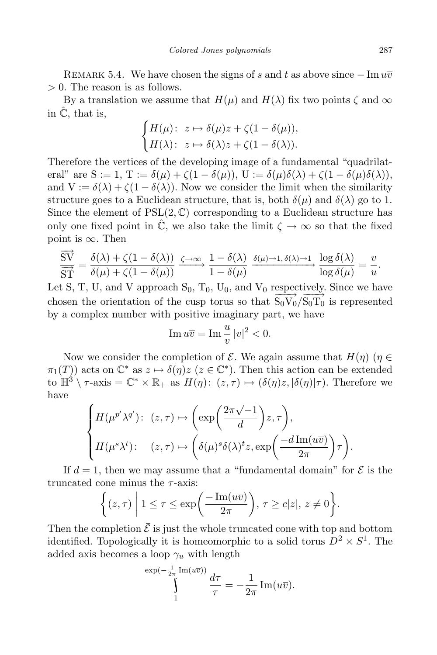REMARK 5.4. We have chosen the signs of s and t as above since  $-\operatorname{Im} u\overline{v}$ > 0. The reason is as follows.

By a translation we assume that  $H(\mu)$  and  $H(\lambda)$  fix two points  $\zeta$  and  $\infty$ in  $\hat{\mathbb{C}}$ , that is,

$$
\begin{cases} H(\mu) \colon\; z \mapsto \delta(\mu) z + \zeta (1 - \delta(\mu)), \\ H(\lambda) \colon\; z \mapsto \delta(\lambda) z + \zeta (1 - \delta(\lambda)). \end{cases}
$$

Therefore the vertices of the developing image of a fundamental "quadrilateral" are  $S := 1$ ,  $T := \delta(\mu) + \zeta(1 - \delta(\mu))$ ,  $U := \delta(\mu)\delta(\lambda) + \zeta(1 - \delta(\mu)\delta(\lambda))$ , and  $V := \delta(\lambda) + \zeta(1 - \delta(\lambda))$ . Now we consider the limit when the similarity structure goes to a Euclidean structure, that is, both  $\delta(\mu)$  and  $\delta(\lambda)$  go to 1. Since the element of  $PSL(2, \mathbb{C})$  corresponding to a Euclidean structure has only one fixed point in  $\hat{\mathbb{C}}$ , we also take the limit  $\zeta \to \infty$  so that the fixed point is  $\infty$ . Then

$$
\frac{\overrightarrow{SV}}{\overrightarrow{ST}} = \frac{\delta(\lambda) + \zeta(1 - \delta(\lambda))}{\delta(\mu) + \zeta(1 - \delta(\mu))} \xrightarrow{\zeta \to \infty} \frac{1 - \delta(\lambda)}{1 - \delta(\mu)} \xrightarrow{\delta(\mu) \to 1, \delta(\lambda) \to 1} \frac{\log \delta(\lambda)}{\log \delta(\mu)} = \frac{v}{u}.
$$

Let S, T, U, and V approach  $S_0$ ,  $T_0$ ,  $U_0$ , and  $V_0$  respectively. Since we have chosen the orientation of the cusp torus so that  $\overrightarrow{S_0V_0}/\overrightarrow{S_0T_0}$  is represented by a complex number with positive imaginary part, we have

$$
\operatorname{Im} u\overline{v} = \operatorname{Im} \frac{u}{v} |v|^2 < 0.
$$

Now we consider the completion of  $\mathcal E$ . We again assume that  $H(\eta)$  ( $\eta \in$  $\pi_1(T)$  acts on  $\mathbb{C}^*$  as  $z \mapsto \delta(\eta)z$  ( $z \in \mathbb{C}^*$ ). Then this action can be extended to  $\mathbb{H}^3 \setminus \tau$ -axis =  $\mathbb{C}^* \times \mathbb{R}_+$  as  $H(\eta)$ :  $(z, \tau) \mapsto (\delta(\eta)z, |\delta(\eta)|\tau)$ . Therefore we have

$$
\begin{cases}\nH(\mu^{p'}\lambda^{q'}): (z,\tau) \mapsto \left(\exp\left(\frac{2\pi\sqrt{-1}}{d}\right)z,\tau\right), \\
H(\mu^s\lambda^t): (z,\tau) \mapsto \left(\delta(\mu)^s\delta(\lambda)^tz,\exp\left(\frac{-d\operatorname{Im}(u\overline{v})}{2\pi}\right)\tau\right).\n\end{cases}
$$

If  $d = 1$ , then we may assume that a "fundamental domain" for  $\mathcal E$  is the truncated cone minus the  $\tau$ -axis:

$$
\left\{ (z,\tau) \middle| 1 \leq \tau \leq \exp\left(\frac{-\operatorname{Im}(u\overline{v})}{2\pi}\right), \tau \geq c|z|, z \neq 0 \right\}.
$$

Then the completion  $\overline{\mathcal{E}}$  is just the whole truncated cone with top and bottom identified. Topologically it is homeomorphic to a solid torus  $D^2 \times S^1$ . The added axis becomes a loop  $\gamma_u$  with length

$$
\int_{1}^{\exp(-\frac{1}{2\pi}\operatorname{Im}(u\overline{v}))} \frac{d\tau}{\tau} = -\frac{1}{2\pi}\operatorname{Im}(u\overline{v}).
$$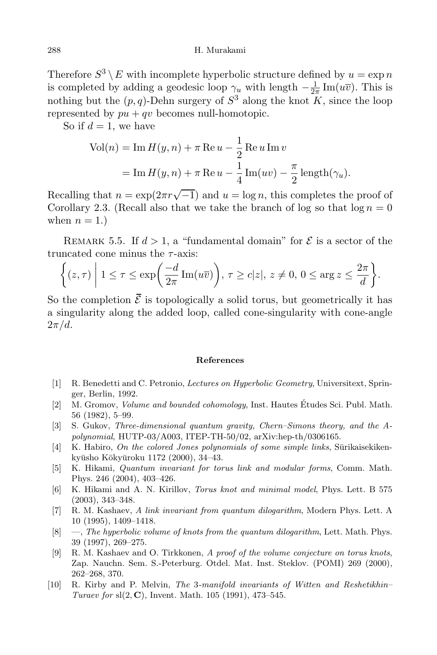Therefore  $S^3 \setminus E$  with incomplete hyperbolic structure defined by  $u = \exp n$ is completed by adding a geodesic loop  $\gamma_u$  with length  $-\frac{1}{2i}$  $\frac{1}{2\pi}$  Im( $u\overline{v}$ ). This is nothing but the  $(p, q)$ -Dehn surgery of  $S^3$  along the knot K, since the loop represented by  $pu + qv$  becomes null-homotopic.

So if  $d = 1$ , we have

Vol(n) = Im 
$$
H(y, n)
$$
 +  $\pi$  Re  $u - \frac{1}{2}$  Re  $u$  Im  $v$   
= Im  $H(y, n)$  +  $\pi$  Re  $u - \frac{1}{4}$  Im $(uv) - \frac{\pi}{2}$  length $(\gamma_u)$ .

Recalling that  $n = \exp(2\pi r \sqrt{-1})$  and  $u = \log n$ , this completes the proof of Corollary 2.3. (Recall also that we take the branch of log so that  $\log n = 0$ when  $n = 1$ .

REMARK 5.5. If  $d > 1$ , a "fundamental domain" for  $\mathcal E$  is a sector of the truncated cone minus the  $\tau$ -axis:

$$
\bigg\{(z,\tau)\ \bigg|\ 1\leq \tau\leq \exp\bigg(\frac{-d}{2\pi}\operatorname{Im}(u\overline{v})\bigg),\ \tau\geq c|z|,\,z\neq 0,\,0\leq \arg z\leq \frac{2\pi}{d}\bigg\}.
$$

So the completion  $\bar{\mathcal{E}}$  is topologically a solid torus, but geometrically it has a singularity along the added loop, called cone-singularity with cone-angle  $2\pi/d$ .

## References

- [1] R. Benedetti and C. Petronio, Lectures on Hyperbolic Geometry, Universitext, Springer, Berlin, 1992.
- [2] M. Gromov, *Volume and bounded cohomology*, Inst. Hautes Etudes Sci. Publ. Math. 56 (1982), 5–99.
- [3] S. Gukov, Three-dimensional quantum gravity, Chern–Simons theory, and the Apolynomial, HUTP-03/A003, ITEP-TH-50/02, arXiv:hep-th/0306165.
- $[4]$  K. Habiro, On the colored Jones polynomials of some simple links, Surikaisekikenkyūsho Kōkyūroku 1172 (2000), 34–43.
- [5] K. Hikami, Quantum invariant for torus link and modular forms, Comm. Math. Phys. 246 (2004), 403–426.
- [6] K. Hikami and A. N. Kirillov, Torus knot and minimal model, Phys. Lett. B 575 (2003), 343–348.
- [7] R. M. Kashaev, A link invariant from quantum dilogarithm, Modern Phys. Lett. A 10 (1995), 1409–1418.
- [8] —, The hyperbolic volume of knots from the quantum dilogarithm, Lett. Math. Phys. 39 (1997), 269–275.
- [9] R. M. Kashaev and O. Tirkkonen, A proof of the volume conjecture on torus knots, Zap. Nauchn. Sem. S.-Peterburg. Otdel. Mat. Inst. Steklov. (POMI) 269 (2000), 262–268, 370.
- [10] R. Kirby and P. Melvin, The 3-manifold invariants of Witten and Reshetikhin– Turaev for  $sl(2, C)$ , Invent. Math. 105 (1991), 473–545.